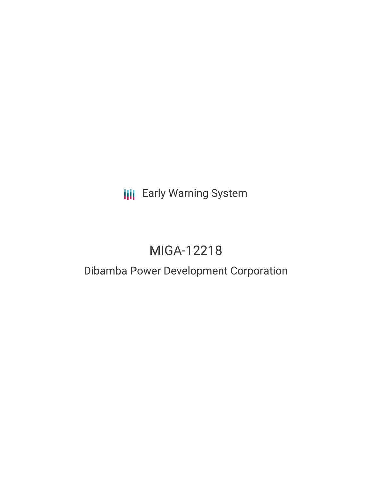# **III** Early Warning System

# MIGA-12218

## Dibamba Power Development Corporation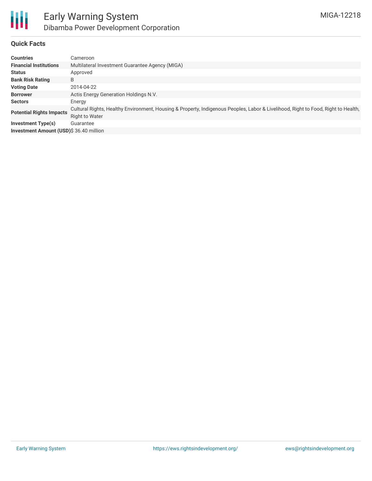

#### **Quick Facts**

| <b>Countries</b>                        | Cameroon                                                                                                                                            |  |  |  |  |  |
|-----------------------------------------|-----------------------------------------------------------------------------------------------------------------------------------------------------|--|--|--|--|--|
| <b>Financial Institutions</b>           | Multilateral Investment Guarantee Agency (MIGA)                                                                                                     |  |  |  |  |  |
| <b>Status</b>                           | Approved                                                                                                                                            |  |  |  |  |  |
| <b>Bank Risk Rating</b>                 | B                                                                                                                                                   |  |  |  |  |  |
| <b>Voting Date</b>                      | 2014-04-22                                                                                                                                          |  |  |  |  |  |
| <b>Borrower</b>                         | Actis Energy Generation Holdings N.V.                                                                                                               |  |  |  |  |  |
| <b>Sectors</b>                          | Energy                                                                                                                                              |  |  |  |  |  |
| <b>Potential Rights Impacts</b>         | Cultural Rights, Healthy Environment, Housing & Property, Indigenous Peoples, Labor & Livelihood, Right to Food, Right to Health,<br>Right to Water |  |  |  |  |  |
| <b>Investment Type(s)</b>               | Guarantee                                                                                                                                           |  |  |  |  |  |
| Investment Amount (USD)\$ 36.40 million |                                                                                                                                                     |  |  |  |  |  |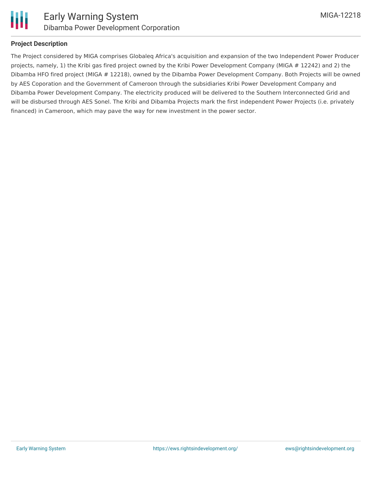

#### **Project Description**

The Project considered by MIGA comprises Globaleq Africa's acquisition and expansion of the two Independent Power Producer projects, namely, 1) the Kribi gas fired project owned by the Kribi Power Development Company (MIGA # 12242) and 2) the Dibamba HFO fired project (MIGA # 12218), owned by the Dibamba Power Development Company. Both Projects will be owned by AES Coporation and the Government of Cameroon through the subsidiaries Kribi Power Development Company and Dibamba Power Development Company. The electricity produced will be delivered to the Southern Interconnected Grid and will be disbursed through AES Sonel. The Kribi and Dibamba Projects mark the first independent Power Projects (i.e. privately financed) in Cameroon, which may pave the way for new investment in the power sector.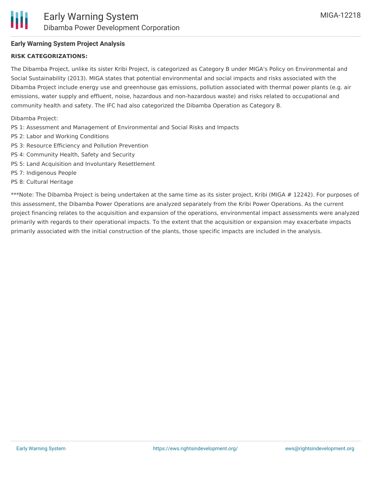#### **Early Warning System Project Analysis**

#### **RISK CATEGORIZATIONS:**

The Dibamba Project, unlike its sister Kribi Project, is categorized as Category B under MIGA's Policy on Environmental and Social Sustainability (2013). MIGA states that potential environmental and social impacts and risks associated with the Dibamba Project include energy use and greenhouse gas emissions, pollution associated with thermal power plants (e.g. air emissions, water supply and effluent, noise, hazardous and non-hazardous waste) and risks related to occupational and community health and safety. The IFC had also categorized the Dibamba Operation as Category B.

Dibamba Project:

- PS 1: Assessment and Management of Environmental and Social Risks and Impacts
- PS 2: Labor and Working Conditions
- PS 3: Resource Efficiency and Pollution Prevention
- PS 4: Community Health, Safety and Security
- PS 5: Land Acquisition and Involuntary Resettlement
- PS 7: Indigenous People
- PS 8: Cultural Heritage

\*\*\*Note: The Dibamba Project is being undertaken at the same time as its sister project, Kribi (MIGA # 12242). For purposes of this assessment, the Dibamba Power Operations are analyzed separately from the Kribi Power Operations. As the current project financing relates to the acquisition and expansion of the operations, environmental impact assessments were analyzed primarily with regards to their operational impacts. To the extent that the acquisition or expansion may exacerbate impacts primarily associated with the initial construction of the plants, those specific impacts are included in the analysis.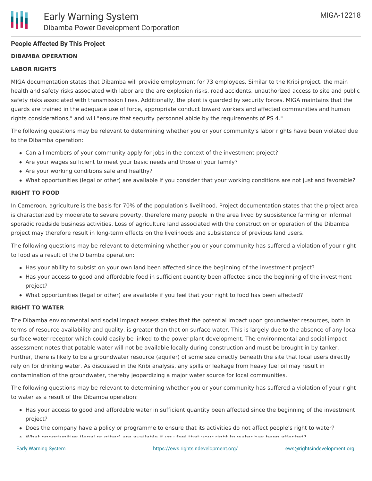#### **People Affected By This Project**

#### **DIBAMBA OPERATION**

#### **LABOR RIGHTS**

MIGA documentation states that Dibamba will provide employment for 73 employees. Similar to the Kribi project, the main health and safety risks associated with labor are the are explosion risks, road accidents, unauthorized access to site and public safety risks associated with transmission lines. Additionally, the plant is guarded by security forces. MIGA maintains that the guards are trained in the adequate use of force, appropriate conduct toward workers and affected communities and human rights considerations," and will "ensure that security personnel abide by the requirements of PS 4."

The following questions may be relevant to determining whether you or your community's labor rights have been violated due to the Dibamba operation:

- Can all members of your community apply for jobs in the context of the investment project?
- Are your wages sufficient to meet your basic needs and those of your family?
- Are your working conditions safe and healthy?
- What opportunities (legal or other) are available if you consider that your working conditions are not just and favorable?

#### **RIGHT TO FOOD**

In Cameroon, agriculture is the basis for 70% of the population's livelihood. Project documentation states that the project area is characterized by moderate to severe poverty, therefore many people in the area lived by subsistence farming or informal sporadic roadside business activities. Loss of agriculture land associated with the construction or operation of the Dibamba project may therefore result in long-term effects on the livelihoods and subsistence of previous land users.

The following questions may be relevant to determining whether you or your community has suffered a violation of your right to food as a result of the Dibamba operation:

- Has your ability to subsist on your own land been affected since the beginning of the investment project?
- Has your access to good and affordable food in sufficient quantity been affected since the beginning of the investment project?
- What opportunities (legal or other) are available if you feel that your right to food has been affected?

#### **RIGHT TO WATER**

The Dibamba environmental and social impact assess states that the potential impact upon groundwater resources, both in terms of resource availability and quality, is greater than that on surface water. This is largely due to the absence of any local surface water receptor which could easily be linked to the power plant development. The environmental and social impact assessment notes that potable water will not be available locally during construction and must be brought in by tanker. Further, there is likely to be a groundwater resource (aquifer) of some size directly beneath the site that local users directly rely on for drinking water. As discussed in the Kribi analysis, any spills or leakage from heavy fuel oil may result in contamination of the groundwater, thereby jeopardizing a major water source for local communities.

The following questions may be relevant to determining whether you or your community has suffered a violation of your right to water as a result of the Dibamba operation:

- Has your access to good and affordable water in sufficient quantity been affected since the beginning of the investment project?
- Does the company have a policy or programme to ensure that its activities do not affect people's right to water?
- what opportunities (legal or other) are available if you feel that your right to water has been affected?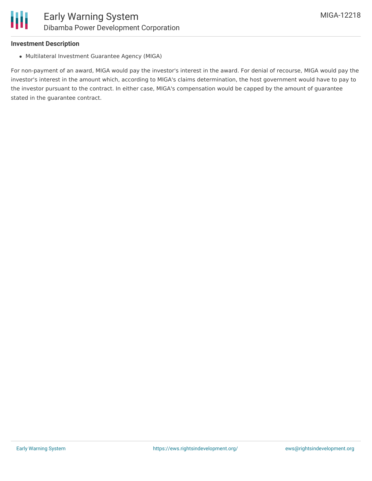#### **Investment Description**

Multilateral Investment Guarantee Agency (MIGA)

For non-payment of an award, MIGA would pay the investor's interest in the award. For denial of recourse, MIGA would pay the investor's interest in the amount which, according to MIGA's claims determination, the host government would have to pay to the investor pursuant to the contract. In either case, MIGA's compensation would be capped by the amount of guarantee stated in the guarantee contract.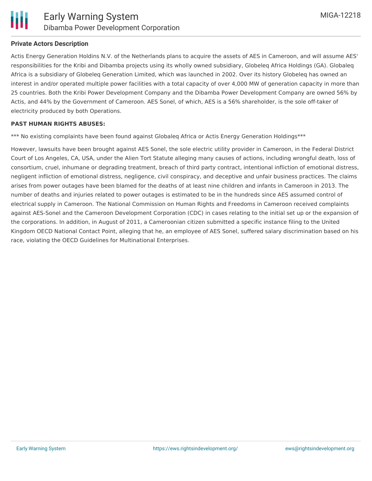

#### **Private Actors Description**

Actis Energy Generation Holdins N.V. of the Netherlands plans to acquire the assets of AES in Cameroon, and will assume AES' responsibilities for the Kribi and Dibamba projects using its wholly owned subsidiary, Globeleq Africa Holdings (GA). Globaleq Africa is a subsidiary of Globeleq Generation Limited, which was launched in 2002. Over its history Globeleq has owned an interest in and/or operated multiple power facilities with a total capacity of over 4,000 MW of generation capacity in more than 25 countries. Both the Kribi Power Development Company and the Dibamba Power Development Company are owned 56% by Actis, and 44% by the Government of Cameroon. AES Sonel, of which, AES is a 56% shareholder, is the sole off-taker of electricity produced by both Operations.

#### **PAST HUMAN RIGHTS ABUSES:**

\*\*\* No existing complaints have been found against Globaleq Africa or Actis Energy Generation Holdings\*\*\*

However, lawsuits have been brought against AES Sonel, the sole electric utility provider in Cameroon, in the Federal District Court of Los Angeles, CA, USA, under the Alien Tort Statute alleging many causes of actions, including wrongful death, loss of consortium, cruel, inhumane or degrading treatment, breach of third party contract, intentional infliction of emotional distress, negligent infliction of emotional distress, negligence, civil conspiracy, and deceptive and unfair business practices. The claims arises from power outages have been blamed for the deaths of at least nine children and infants in Cameroon in 2013. The number of deaths and injuries related to power outages is estimated to be in the hundreds since AES assumed control of electrical supply in Cameroon. The National Commission on Human Rights and Freedoms in Cameroon received complaints against AES-Sonel and the Cameroon Development Corporation (CDC) in cases relating to the initial set up or the expansion of the corporations. In addition, in August of 2011, a Cameroonian citizen submitted a specific instance filing to the United Kingdom OECD National Contact Point, alleging that he, an employee of AES Sonel, suffered salary discrimination based on his race, violating the OECD Guidelines for Multinational Enterprises.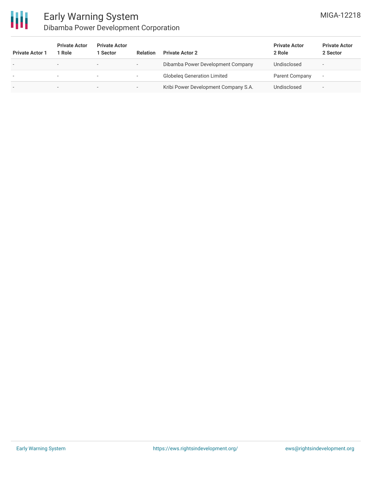

### Early Warning System Dibamba Power Development Corporation

| <b>Private Actor 1</b>   | <b>Private Actor</b><br>l Role | <b>Private Actor</b><br>l Sector | <b>Relation</b>          | <b>Private Actor 2</b>               | <b>Private Actor</b><br>2 Role | <b>Private Actor</b><br>2 Sector |
|--------------------------|--------------------------------|----------------------------------|--------------------------|--------------------------------------|--------------------------------|----------------------------------|
| $\overline{\phantom{a}}$ | $\sim$                         | $\overline{\phantom{0}}$         | $\overline{\phantom{a}}$ | Dibamba Power Development Company    | Undisclosed                    | $\overline{\phantom{a}}$         |
|                          |                                | ۰                                | $\overline{\phantom{a}}$ | <b>Globeleg Generation Limited</b>   | Parent Company                 | $\overline{\phantom{a}}$         |
| $\overline{\phantom{a}}$ |                                | $\overline{\phantom{a}}$         | -                        | Kribi Power Development Company S.A. | Undisclosed                    |                                  |